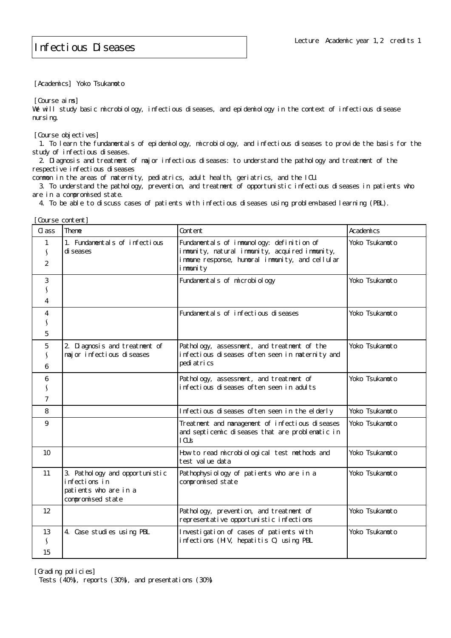[Academics] Yoko Tsukamoto

[Course aims]

We will study basic microbiology, infectious diseases, and epidemiology in the context of infectious disease nursing.

[Course objectives]

 1. To learn the fundamentals of epidemiology, microbiology, and infectious diseases to provide the basis for the study of infectious diseases.

 2. Diagnosis and treatment of major infectious diseases: to understand the pathology and treatment of the respective infectious diseases

common in the areas of maternity, pediatrics, adult health, geriatrics, and the ICU.

 3. To understand the pathology, prevention, and treatment of opportunistic infectious diseases in patients who are in a compromised state.

4. To be able to discuss cases of patients with infectious diseases using problem-based learning (PBL).

| Course content]          |                                                                                               |                                                                                                                                                              |                |
|--------------------------|-----------------------------------------------------------------------------------------------|--------------------------------------------------------------------------------------------------------------------------------------------------------------|----------------|
| CLass                    | Theme                                                                                         | Content                                                                                                                                                      | Academics      |
| 2                        | 1. Fundamentals of infectious<br>di seases                                                    | Fundamentals of immunology: definition of<br>immunity, natural immunity, acquired immunity,<br>immune response, humoral immunity, and cellular<br>i mmuni ty | Yoko Tsukamoto |
| 3<br>4                   |                                                                                               | Fundamental s of microbiology                                                                                                                                | Yoko Tsukamoto |
| 4<br>5                   |                                                                                               | Fundamentals of infectious diseases                                                                                                                          | Yoko Tsukamoto |
| 5<br>6                   | 2 Diagnosis and treatment of<br>major infectious diseases                                     | Pathology, assessment, and treatment of the<br>infectious diseases often seen in maternity and<br>pedi atrics                                                | Yoko Tsukamoto |
| 6<br>7                   |                                                                                               | Pathology, assessment, and treatment of<br>infectious diseases often seen in adults                                                                          | Yoko Tsukamoto |
| 8                        |                                                                                               | Infectious diseases often seen in the elderly                                                                                                                | Yoko Tsukamoto |
| 9                        |                                                                                               | Treatment and management of infectious diseases<br>and septicemic diseases that are problematic in<br>1 <sup>CI</sup>                                        | Yoko Tsukamoto |
| 10                       |                                                                                               | How to read microbiological test methods and<br>test value data                                                                                              | Yoko Tsukamoto |
| 11                       | 3. Pathology and opportunistic<br>infections in<br>patients who are in a<br>compromised state | Pathophysiology of patients who are in a<br>compromised state                                                                                                | Yoko Tsukamoto |
| 12                       |                                                                                               | Pathology, prevention, and treatment of<br>representative opportunistic infections                                                                           | Yoko Tsukamoto |
| 13<br>$\mathbf{v}$<br>15 | 4. Case studies using PBL                                                                     | Investigation of cases of patients with<br>infections (HV, hepatitis C) using PBL                                                                            | Yoko Tsukamoto |

[Grading policies]

Tests (40%), reports (30%), and presentations (30%)